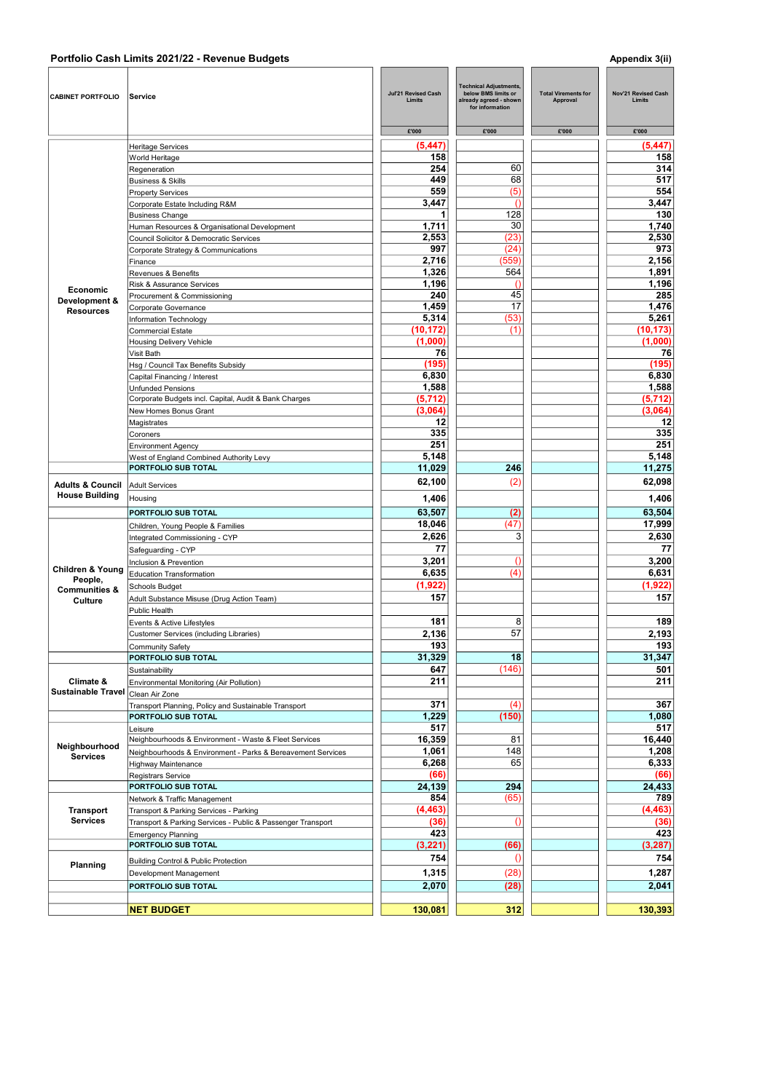## Portfolio Cash Limits 2021/22 - Revenue Budgets Appendix 3(ii)

| <b>CABINET PORTFOLIO</b>            | Service                                                     | Jul'21 Revised Cash<br>Limits | <b>Technical Adjustments,</b><br>below BMS limits or<br>already agreed - shown<br>for information | <b>Total Virements for</b><br>Approval | <b>Nov'21 Revised Cash</b><br>Limits |
|-------------------------------------|-------------------------------------------------------------|-------------------------------|---------------------------------------------------------------------------------------------------|----------------------------------------|--------------------------------------|
|                                     |                                                             | £'000                         | £'000                                                                                             | £'000                                  | £'000                                |
|                                     | Heritage Services                                           | (5, 447)                      |                                                                                                   |                                        | (5, 447)                             |
|                                     | World Heritage                                              | 158                           |                                                                                                   |                                        | 158                                  |
|                                     | Regeneration                                                | 254                           | 60                                                                                                |                                        | 314                                  |
|                                     | <b>Business &amp; Skills</b>                                | 449                           | 68                                                                                                |                                        | 517                                  |
|                                     | <b>Property Services</b>                                    | 559                           | (5)                                                                                               |                                        | 554                                  |
|                                     | Corporate Estate Including R&M                              | 3,447                         | $\Omega$                                                                                          |                                        | 3,447                                |
|                                     | <b>Business Change</b>                                      | 1                             | 128                                                                                               |                                        | 130                                  |
|                                     | Human Resources & Organisational Development                | 1,711                         | 30                                                                                                |                                        | 1,740                                |
|                                     | Council Solicitor & Democratic Services                     | 2,553                         | (23)                                                                                              |                                        | 2,530                                |
|                                     | Corporate Strategy & Communications                         | 997                           | (24)                                                                                              |                                        | 973                                  |
|                                     | Finance                                                     | 2,716                         | (559)                                                                                             |                                        | 2,156                                |
|                                     |                                                             | 1,326                         | 564                                                                                               |                                        | 1,891                                |
|                                     | Revenues & Benefits                                         | 1,196                         | $\Omega$                                                                                          |                                        | 1,196                                |
| <b>Economic</b>                     | Risk & Assurance Services                                   | 240                           | 45                                                                                                |                                        |                                      |
| Development &                       | Procurement & Commissioning                                 |                               |                                                                                                   |                                        | 285                                  |
| <b>Resources</b>                    | Corporate Governance                                        | 1,459                         | 17                                                                                                |                                        | 1,476                                |
|                                     | Information Technology                                      | 5,314                         | (53)                                                                                              |                                        | 5,261                                |
|                                     | <b>Commercial Estate</b>                                    | (10, 172)                     | (1)                                                                                               |                                        | (10, 173)                            |
|                                     | <b>Housing Delivery Vehicle</b>                             | (1,000)                       |                                                                                                   |                                        | (1,000)                              |
|                                     | Visit Bath                                                  | 76                            |                                                                                                   |                                        | 76                                   |
|                                     | Hsg / Council Tax Benefits Subsidy                          | (195)                         |                                                                                                   |                                        | (195)                                |
|                                     | Capital Financing / Interest                                | 6,830                         |                                                                                                   |                                        | 6,830                                |
|                                     | <b>Unfunded Pensions</b>                                    | 1,588                         |                                                                                                   |                                        | 1,588                                |
|                                     | Corporate Budgets incl. Capital, Audit & Bank Charges       | (5,712)                       |                                                                                                   |                                        | (5,712)                              |
|                                     | New Homes Bonus Grant                                       | (3,064)                       |                                                                                                   |                                        | (3,064)                              |
|                                     | Magistrates                                                 | 12                            |                                                                                                   |                                        | 12                                   |
|                                     | Coroners                                                    | 335                           |                                                                                                   |                                        | 335                                  |
|                                     |                                                             | 251                           |                                                                                                   |                                        | 251                                  |
|                                     | <b>Environment Agency</b>                                   |                               |                                                                                                   |                                        |                                      |
|                                     | West of England Combined Authority Levy                     | 5,148                         |                                                                                                   |                                        | 5,148                                |
|                                     | PORTFOLIO SUB TOTAL                                         | 11,029                        | 246                                                                                               |                                        | 11,275                               |
| <b>Adults &amp; Council</b>         | <b>Adult Services</b>                                       | 62,100                        | (2)                                                                                               |                                        | 62,098                               |
| <b>House Building</b>               | Housing                                                     | 1,406                         |                                                                                                   |                                        | 1,406                                |
|                                     |                                                             |                               |                                                                                                   |                                        |                                      |
|                                     | PORTFOLIO SUB TOTAL                                         | 63,507                        | (2)                                                                                               |                                        | 63,504                               |
|                                     | Children, Young People & Families                           | 18,046                        | (47)                                                                                              |                                        | 17,999                               |
|                                     | Integrated Commissioning - CYP                              | 2,626                         | 3                                                                                                 |                                        | 2,630                                |
|                                     | Safeguarding - CYP                                          | 77                            |                                                                                                   |                                        | 77                                   |
|                                     | Inclusion & Prevention                                      | 3,201                         | $\theta$                                                                                          |                                        | 3,200                                |
| <b>Children &amp; Young</b>         | <b>Education Transformation</b>                             | 6,635                         | (4)                                                                                               |                                        | 6.631                                |
| People,                             | Schools Budget                                              | (1, 922)                      |                                                                                                   |                                        | (1, 922)                             |
| <b>Communities &amp;</b>            |                                                             | 157                           |                                                                                                   |                                        | 157                                  |
| Culture                             | Adult Substance Misuse (Drug Action Team)                   |                               |                                                                                                   |                                        |                                      |
|                                     | Public Health                                               |                               |                                                                                                   |                                        |                                      |
|                                     | Events & Active Lifestyles                                  | 181                           | 8                                                                                                 |                                        | 189                                  |
|                                     | Customer Services (including Libraries)                     | 2,136                         | 57                                                                                                |                                        | 2,193                                |
|                                     | <b>Community Safety</b>                                     | 193                           |                                                                                                   |                                        | 193                                  |
|                                     | PORTFOLIO SUB TOTAL                                         | 31,329                        | 18                                                                                                |                                        | 31,347                               |
|                                     | Sustainability                                              | 647                           | (146)                                                                                             |                                        | 501                                  |
| Climate &                           | Environmental Monitoring (Air Pollution)                    | 211                           |                                                                                                   |                                        | 211                                  |
| <b>Sustainable Travel</b>           | Clean Air Zone                                              |                               |                                                                                                   |                                        |                                      |
|                                     | Transport Planning, Policy and Sustainable Transport        | 371                           | (4)                                                                                               |                                        | 367                                  |
|                                     | PORTFOLIO SUB TOTAL                                         | 1,229                         | (150)                                                                                             |                                        | 1,080                                |
|                                     | Leisure                                                     | 517                           |                                                                                                   |                                        | 517                                  |
|                                     | Neighbourhoods & Environment - Waste & Fleet Services       | 16,359                        | 81                                                                                                |                                        | 16,440                               |
| Neighbourhood                       |                                                             |                               |                                                                                                   |                                        |                                      |
| <b>Services</b>                     | Neighbourhoods & Environment - Parks & Bereavement Services | 1,061                         | 148                                                                                               |                                        | 1,208                                |
|                                     | Highway Maintenance                                         | 6,268                         | 65                                                                                                |                                        | 6,333                                |
|                                     | Registrars Service                                          | (66)                          |                                                                                                   |                                        | (66)                                 |
|                                     | PORTFOLIO SUB TOTAL                                         | 24,139                        | 294                                                                                               |                                        | 24,433                               |
|                                     | Network & Traffic Management                                | 854                           | (65)                                                                                              |                                        | 789                                  |
| <b>Transport</b><br><b>Services</b> | Transport & Parking Services - Parking                      | (4, 463)                      |                                                                                                   |                                        | (4,463)                              |
|                                     | Transport & Parking Services - Public & Passenger Transport | (36)                          | $\left( \right)$                                                                                  |                                        | (36)                                 |
|                                     | <b>Emergency Planning</b>                                   | 423                           |                                                                                                   |                                        | 423                                  |
|                                     | PORTFOLIO SUB TOTAL                                         | (3,221)                       | (66)                                                                                              |                                        | (3, 287)                             |
| Planning                            |                                                             | 754                           | $\theta$                                                                                          |                                        | 754                                  |
|                                     | Building Control & Public Protection                        |                               |                                                                                                   |                                        |                                      |
|                                     | Development Management                                      | 1,315                         | (28)                                                                                              |                                        | 1,287                                |
|                                     | PORTFOLIO SUB TOTAL                                         | 2,070                         | (28)                                                                                              |                                        | 2,041                                |
|                                     |                                                             |                               |                                                                                                   |                                        |                                      |
|                                     | <b>NET BUDGET</b>                                           | 130,081                       | 312                                                                                               |                                        | 130,393                              |